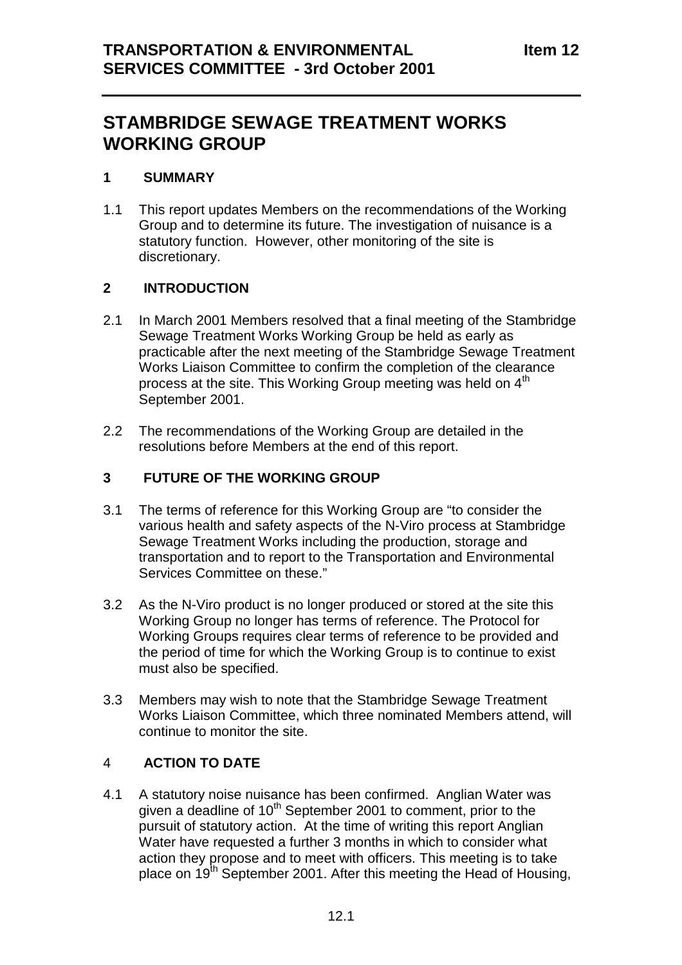# **STAMBRIDGE SEWAGE TREATMENT WORKS WORKING GROUP**

#### **1 SUMMARY**

1.1 This report updates Members on the recommendations of the Working Group and to determine its future. The investigation of nuisance is a statutory function. However, other monitoring of the site is discretionary.

# **2 INTRODUCTION**

- 2.1 In March 2001 Members resolved that a final meeting of the Stambridge Sewage Treatment Works Working Group be held as early as practicable after the next meeting of the Stambridge Sewage Treatment Works Liaison Committee to confirm the completion of the clearance process at the site. This Working Group meeting was held on 4<sup>th</sup> September 2001.
- 2.2 The recommendations of the Working Group are detailed in the resolutions before Members at the end of this report.

#### **3 FUTURE OF THE WORKING GROUP**

- 3.1 The terms of reference for this Working Group are "to consider the various health and safety aspects of the N-Viro process at Stambridge Sewage Treatment Works including the production, storage and transportation and to report to the Transportation and Environmental Services Committee on these."
- 3.2 As the N-Viro product is no longer produced or stored at the site this Working Group no longer has terms of reference. The Protocol for Working Groups requires clear terms of reference to be provided and the period of time for which the Working Group is to continue to exist must also be specified.
- 3.3 Members may wish to note that the Stambridge Sewage Treatment Works Liaison Committee, which three nominated Members attend, will continue to monitor the site.

#### 4 **ACTION TO DATE**

4.1 A statutory noise nuisance has been confirmed. Anglian Water was given a deadline of 10<sup>th</sup> September 2001 to comment, prior to the pursuit of statutory action. At the time of writing this report Anglian Water have requested a further 3 months in which to consider what action they propose and to meet with officers. This meeting is to take place on 19<sup>th</sup> September 2001. After this meeting the Head of Housing.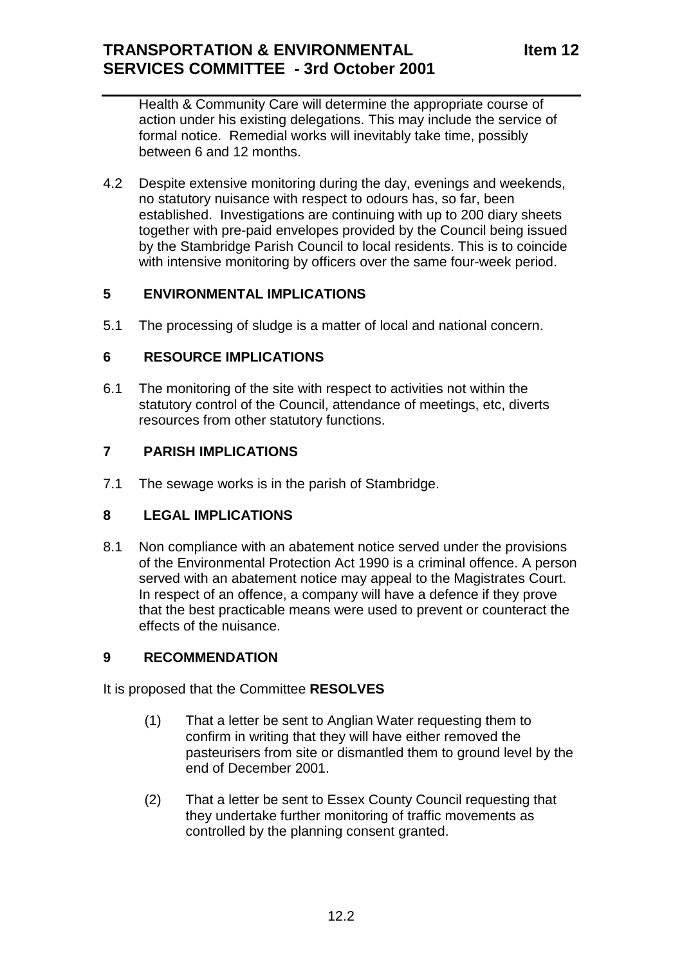Health & Community Care will determine the appropriate course of action under his existing delegations. This may include the service of formal notice. Remedial works will inevitably take time, possibly between 6 and 12 months.

4.2 Despite extensive monitoring during the day, evenings and weekends, no statutory nuisance with respect to odours has, so far, been established. Investigations are continuing with up to 200 diary sheets together with pre-paid envelopes provided by the Council being issued by the Stambridge Parish Council to local residents. This is to coincide with intensive monitoring by officers over the same four-week period.

# **5 ENVIRONMENTAL IMPLICATIONS**

5.1 The processing of sludge is a matter of local and national concern.

#### **6 RESOURCE IMPLICATIONS**

6.1 The monitoring of the site with respect to activities not within the statutory control of the Council, attendance of meetings, etc, diverts resources from other statutory functions.

# **7 PARISH IMPLICATIONS**

7.1 The sewage works is in the parish of Stambridge.

#### **8 LEGAL IMPLICATIONS**

8.1 Non compliance with an abatement notice served under the provisions of the Environmental Protection Act 1990 is a criminal offence. A person served with an abatement notice may appeal to the Magistrates Court. In respect of an offence, a company will have a defence if they prove that the best practicable means were used to prevent or counteract the effects of the nuisance.

#### **9 RECOMMENDATION**

It is proposed that the Committee **RESOLVES**

- (1) That a letter be sent to Anglian Water requesting them to confirm in writing that they will have either removed the pasteurisers from site or dismantled them to ground level by the end of December 2001.
- (2) That a letter be sent to Essex County Council requesting that they undertake further monitoring of traffic movements as controlled by the planning consent granted.